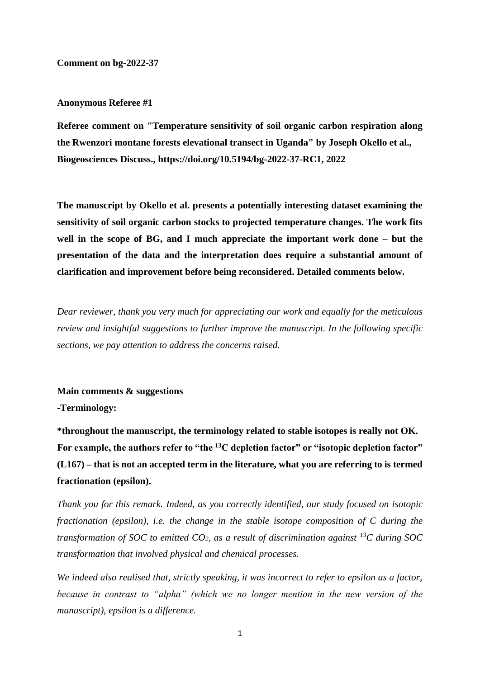### **Comment on bg-2022-37**

#### **Anonymous Referee #1**

**Referee comment on "Temperature sensitivity of soil organic carbon respiration along the Rwenzori montane forests elevational transect in Uganda" by Joseph Okello et al., Biogeosciences Discuss., https://doi.org/10.5194/bg-2022-37-RC1, 2022**

**The manuscript by Okello et al. presents a potentially interesting dataset examining the sensitivity of soil organic carbon stocks to projected temperature changes. The work fits well in the scope of BG, and I much appreciate the important work done – but the presentation of the data and the interpretation does require a substantial amount of clarification and improvement before being reconsidered. Detailed comments below.**

*Dear reviewer, thank you very much for appreciating our work and equally for the meticulous review and insightful suggestions to further improve the manuscript. In the following specific sections, we pay attention to address the concerns raised.*

#### **Main comments & suggestions**

**-Terminology:**

**\*throughout the manuscript, the terminology related to stable isotopes is really not OK. For example, the authors refer to "the <sup>13</sup>C depletion factor" or "isotopic depletion factor" (L167) – that is not an accepted term in the literature, what you are referring to is termed fractionation (epsilon).**

*Thank you for this remark. Indeed, as you correctly identified, our study focused on isotopic fractionation (epsilon), i.e. the change in the stable isotope composition of C during the transformation of SOC to emitted CO2, as a result of discrimination against <sup>13</sup>C during SOC transformation that involved physical and chemical processes.*

*We indeed also realised that, strictly speaking, it was incorrect to refer to epsilon as a factor, because in contrast to "alpha" (which we no longer mention in the new version of the manuscript), epsilon is a difference.*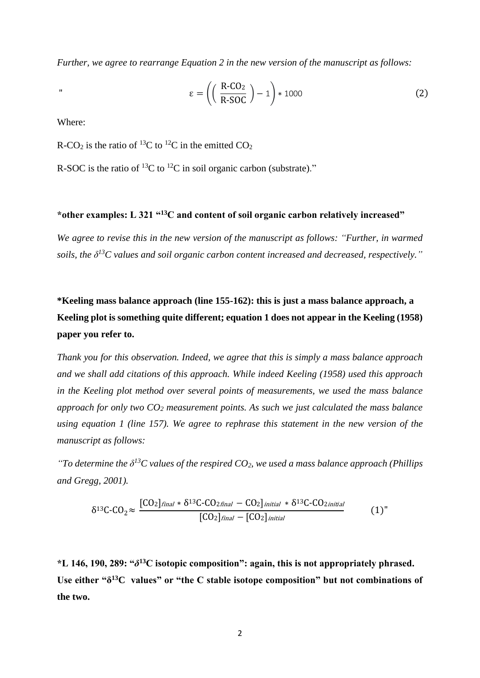*Further, we agree to rearrange Equation 2 in the new version of the manuscript as follows:* 

$$
\varepsilon = \left( \left( \frac{\text{R-CO}_2}{\text{R-SOC}} \right) - 1 \right) * 1000 \tag{2}
$$

Where:

R-CO<sub>2</sub> is the ratio of <sup>13</sup>C to <sup>12</sup>C in the emitted CO<sub>2</sub>

R-SOC is the ratio of  ${}^{13}C$  to  ${}^{12}C$  in soil organic carbon (substrate)."

## **\*other examples: L 321 "<sup>13</sup>C and content of soil organic carbon relatively increased"**

*We agree to revise this in the new version of the manuscript as follows: "Further, in warmed soils, the δ <sup>13</sup>C values and soil organic carbon content increased and decreased, respectively."*

# **\*Keeling mass balance approach (line 155-162): this is just a mass balance approach, a Keeling plot is something quite different; equation 1 does not appear in the Keeling (1958) paper you refer to.**

*Thank you for this observation. Indeed, we agree that this is simply a mass balance approach and we shall add citations of this approach. While indeed Keeling (1958) used this approach in the Keeling plot method over several points of measurements, we used the mass balance approach for only two CO<sup>2</sup> measurement points. As such we just calculated the mass balance using equation 1 (line 157). We agree to rephrase this statement in the new version of the manuscript as follows:* 

*"To determine the δ <sup>13</sup>C values of the respired CO2, we used a mass balance approach (Phillips and Gregg, 2001).*

$$
\delta^{13}C-CO_2 \approx \frac{[CO_2]_{final} * \delta^{13}C-CO_{2final} - CO_2]_{initial} * \delta^{13}C-CO_{2initial}}{[CO_2]_{final} - [CO_2]_{initial}}
$$
(1)

**\*L 146, 190, 289: "***δ* **<sup>13</sup>C isotopic composition": again, this is not appropriately phrased. Use either "δ <sup>13</sup>C values" or "the C stable isotope composition" but not combinations of the two.**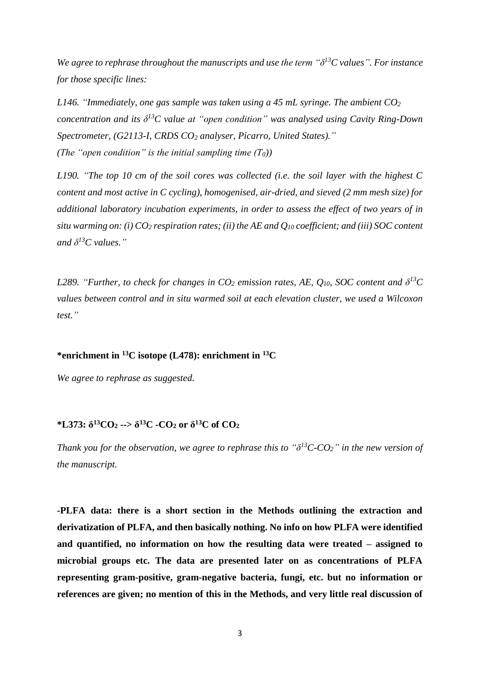*We agree to rephrase throughout the manuscripts and use the term "δ <sup>13</sup>C values". For instance for those specific lines:*

*L146. "Immediately, one gas sample was taken using a 45 mL syringe. The ambient CO<sup>2</sup> concentration and its δ <sup>13</sup>C value at "open condition" was analysed using Cavity Ring-Down Spectrometer, (G2113-I, CRDS CO<sup>2</sup> analyser, Picarro, United States)." (The "open condition" is the initial sampling time (T0))*

*L190. "The top 10 cm of the soil cores was collected (i.e. the soil layer with the highest C content and most active in C cycling), homogenised, air-dried, and sieved (2 mm mesh size) for additional laboratory incubation experiments, in order to assess the effect of two years of in situ warming on: (i) CO<sup>2</sup> respiration rates; (ii) the AE and Q<sup>10</sup> coefficient; and (iii) SOC content and δ <sup>13</sup>C values."*

*L289. "Further, to check for changes in*  $CO_2$  *emission rates, AE,*  $Q_{10}$ *, SOC content and*  $\delta^{13}C$ *values between control and in situ warmed soil at each elevation cluster, we used a Wilcoxon test."*

### **\*enrichment in <sup>13</sup>C isotope (L478): enrichment in <sup>13</sup>C**

*We agree to rephrase as suggested.*

### **\*L373: δ <sup>13</sup>CO<sup>2</sup> --> δ <sup>13</sup>C -CO<sup>2</sup> or δ <sup>13</sup>C of CO<sup>2</sup>**

*Thank you for the observation, we agree to rephrase this to*  $\theta$ *<sup>3</sup><i>C-CO*<sub>2</sub><sup>*"*</sup> *in the new version of the manuscript.*

**-PLFA data: there is a short section in the Methods outlining the extraction and derivatization of PLFA, and then basically nothing. No info on how PLFA were identified and quantified, no information on how the resulting data were treated – assigned to microbial groups etc. The data are presented later on as concentrations of PLFA representing gram-positive, gram-negative bacteria, fungi, etc. but no information or references are given; no mention of this in the Methods, and very little real discussion of**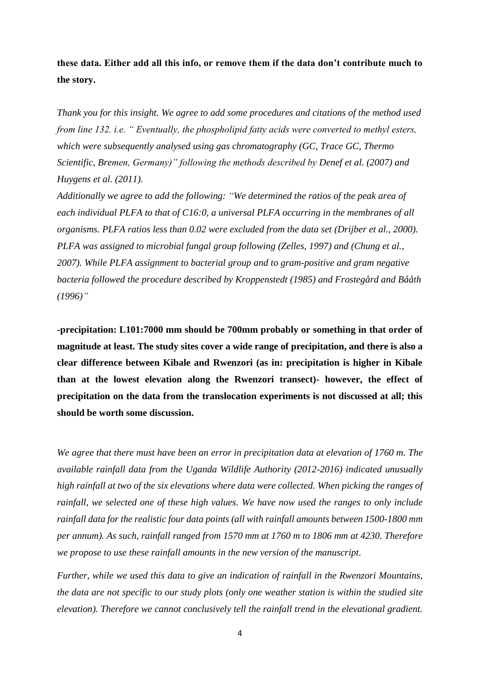**these data. Either add all this info, or remove them if the data don't contribute much to the story.**

*Thank you for this insight. We agree to add some procedures and citations of the method used from line 132. i.e. " Eventually, the phospholipid fatty acids were converted to methyl esters, which were subsequently analysed using gas chromatography (GC, Trace GC, Thermo Scientific, Bremen, Germany)" following the methods described by Denef et al. (2007) and Huygens et al. (2011).* 

*Additionally we agree to add the following: "We determined the ratios of the peak area of each individual PLFA to that of C16:0, a universal PLFA occurring in the membranes of all organisms. PLFA ratios less than 0.02 were excluded from the data set (Drijber et al., 2000). PLFA was assigned to microbial fungal group following (Zelles, 1997) and (Chung et al., 2007). While PLFA assignment to bacterial group and to gram-positive and gram negative bacteria followed the procedure described by Kroppenstedt (1985) and Frostegård and Bååth (1996)"* 

**-precipitation: L101:7000 mm should be 700mm probably or something in that order of magnitude at least. The study sites cover a wide range of precipitation, and there is also a clear difference between Kibale and Rwenzori (as in: precipitation is higher in Kibale than at the lowest elevation along the Rwenzori transect)- however, the effect of precipitation on the data from the translocation experiments is not discussed at all; this should be worth some discussion.**

*We agree that there must have been an error in precipitation data at elevation of 1760 m. The available rainfall data from the Uganda Wildlife Authority (2012-2016) indicated unusually high rainfall at two of the six elevations where data were collected. When picking the ranges of rainfall, we selected one of these high values. We have now used the ranges to only include rainfall data for the realistic four data points (all with rainfall amounts between 1500-1800 mm per annum). As such, rainfall ranged from 1570 mm at 1760 m to 1806 mm at 4230. Therefore we propose to use these rainfall amounts in the new version of the manuscript.* 

*Further, while we used this data to give an indication of rainfall in the Rwenzori Mountains, the data are not specific to our study plots (only one weather station is within the studied site elevation). Therefore we cannot conclusively tell the rainfall trend in the elevational gradient.*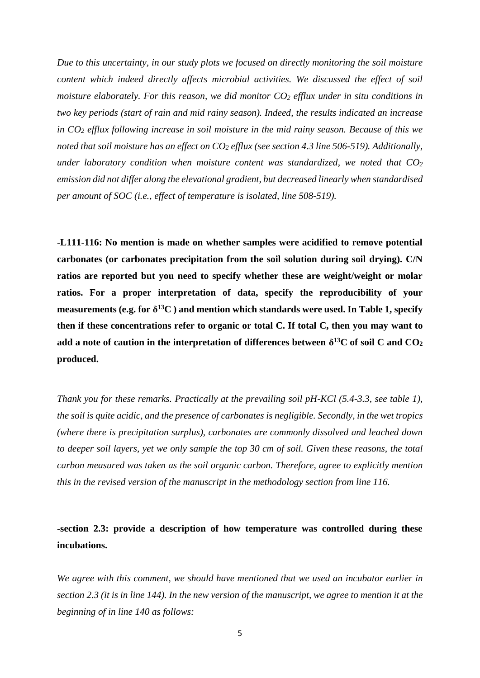*Due to this uncertainty, in our study plots we focused on directly monitoring the soil moisture content which indeed directly affects microbial activities. We discussed the effect of soil moisture elaborately. For this reason, we did monitor CO<sup>2</sup> efflux under in situ conditions in two key periods (start of rain and mid rainy season). Indeed, the results indicated an increase in CO<sup>2</sup> efflux following increase in soil moisture in the mid rainy season. Because of this we noted that soil moisture has an effect on CO<sup>2</sup> efflux (see section 4.3 line 506-519). Additionally, under laboratory condition when moisture content was standardized, we noted that CO<sup>2</sup> emission did not differ along the elevational gradient, but decreased linearly when standardised per amount of SOC (i.e., effect of temperature is isolated, line 508-519).*

**-L111-116: No mention is made on whether samples were acidified to remove potential carbonates (or carbonates precipitation from the soil solution during soil drying). C/N ratios are reported but you need to specify whether these are weight/weight or molar ratios. For a proper interpretation of data, specify the reproducibility of your measurements (e.g. for δ <sup>13</sup>C ) and mention which standards were used. In Table 1, specify then if these concentrations refer to organic or total C. If total C, then you may want to add a note of caution in the interpretation of differences between δ <sup>13</sup>C of soil C and CO<sup>2</sup> produced.**

*Thank you for these remarks. Practically at the prevailing soil pH-KCl (5.4-3.3, see table 1), the soil is quite acidic, and the presence of carbonates is negligible. Secondly, in the wet tropics (where there is precipitation surplus), carbonates are commonly dissolved and leached down to deeper soil layers, yet we only sample the top 30 cm of soil. Given these reasons, the total carbon measured was taken as the soil organic carbon. Therefore, agree to explicitly mention this in the revised version of the manuscript in the methodology section from line 116.*

**-section 2.3: provide a description of how temperature was controlled during these incubations.**

*We agree with this comment, we should have mentioned that we used an incubator earlier in section 2.3 (it is in line 144). In the new version of the manuscript, we agree to mention it at the beginning of in line 140 as follows:*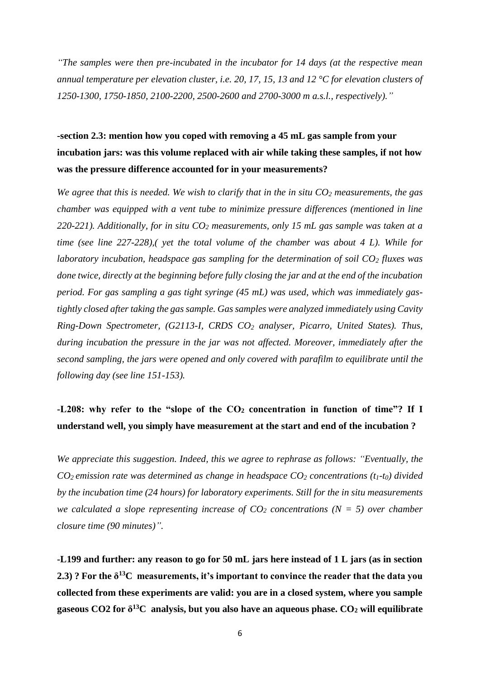*"The samples were then pre-incubated in the incubator for 14 days (at the respective mean annual temperature per elevation cluster, i.e. 20, 17, 15, 13 and 12 °C for elevation clusters of 1250-1300, 1750-1850, 2100-2200, 2500-2600 and 2700-3000 m a.s.l., respectively)."*

# **-section 2.3: mention how you coped with removing a 45 mL gas sample from your incubation jars: was this volume replaced with air while taking these samples, if not how was the pressure difference accounted for in your measurements?**

*We agree that this is needed. We wish to clarify that in the in situ CO<sup>2</sup> measurements, the gas chamber was equipped with a vent tube to minimize pressure differences (mentioned in line 220-221). Additionally, for in situ CO<sup>2</sup> measurements, only 15 mL gas sample was taken at a time (see line 227-228),( yet the total volume of the chamber was about 4 L). While for laboratory incubation, headspace gas sampling for the determination of soil CO<sup>2</sup> fluxes was done twice, directly at the beginning before fully closing the jar and at the end of the incubation period. For gas sampling a gas tight syringe (45 mL) was used, which was immediately gastightly closed after taking the gas sample. Gas samples were analyzed immediately using Cavity Ring-Down Spectrometer, (G2113-I, CRDS CO<sup>2</sup> analyser, Picarro, United States). Thus, during incubation the pressure in the jar was not affected. Moreover, immediately after the second sampling, the jars were opened and only covered with parafilm to equilibrate until the following day (see line 151-153).* 

# **-L208: why refer to the "slope of the CO<sup>2</sup> concentration in function of time"? If I understand well, you simply have measurement at the start and end of the incubation ?**

*We appreciate this suggestion. Indeed, this we agree to rephrase as follows: "Eventually, the CO2 emission rate was determined as change in headspace CO<sup>2</sup> concentrations (t1-t0) divided by the incubation time (24 hours) for laboratory experiments. Still for the in situ measurements we calculated a slope representing increase of*  $CO<sub>2</sub>$  *concentrations*  $(N = 5)$  *over chamber closure time (90 minutes)".*

**-L199 and further: any reason to go for 50 mL jars here instead of 1 L jars (as in section 2.3) ? For the δ <sup>13</sup>C measurements, it's important to convince the reader that the data you collected from these experiments are valid: you are in a closed system, where you sample gaseous CO2 for δ <sup>13</sup>C analysis, but you also have an aqueous phase. CO<sup>2</sup> will equilibrate**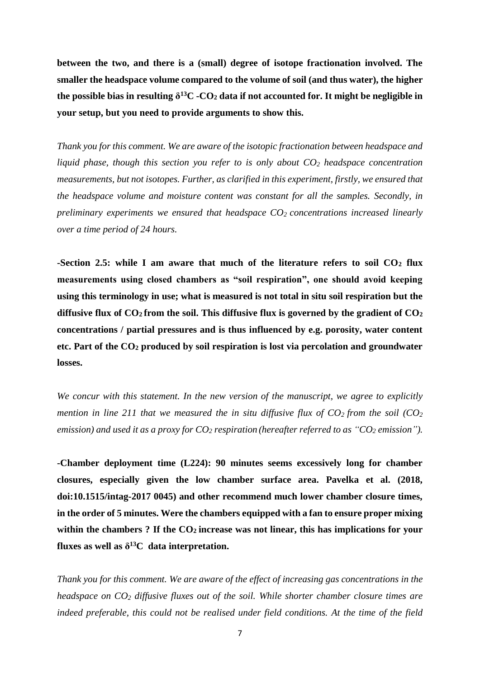**between the two, and there is a (small) degree of isotope fractionation involved. The smaller the headspace volume compared to the volume of soil (and thus water), the higher the possible bias in resulting δ <sup>13</sup>C -CO<sup>2</sup> data if not accounted for. It might be negligible in your setup, but you need to provide arguments to show this.**

*Thank you for this comment. We are aware of the isotopic fractionation between headspace and liquid phase, though this section you refer to is only about CO<sup>2</sup> headspace concentration measurements, but not isotopes. Further, as clarified in this experiment, firstly, we ensured that the headspace volume and moisture content was constant for all the samples. Secondly, in preliminary experiments we ensured that headspace CO2 concentrations increased linearly over a time period of 24 hours.*

**-Section 2.5: while I am aware that much of the literature refers to soil CO<sup>2</sup> flux measurements using closed chambers as "soil respiration", one should avoid keeping using this terminology in use; what is measured is not total in situ soil respiration but the** diffusive flux of  $CO_2$  from the soil. This diffusive flux is governed by the gradient of  $CO_2$ **concentrations / partial pressures and is thus influenced by e.g. porosity, water content etc. Part of the CO<sup>2</sup> produced by soil respiration is lost via percolation and groundwater losses.**

*We concur with this statement. In the new version of the manuscript, we agree to explicitly mention in line 211 that we measured the in situ diffusive flux of*  $CO<sub>2</sub>$  *from the soil (* $CO<sub>2</sub>$ *) emission) and used it as a proxy for CO<sup>2</sup> respiration (hereafter referred to as "CO<sup>2</sup> emission").*

**-Chamber deployment time (L224): 90 minutes seems excessively long for chamber closures, especially given the low chamber surface area. Pavelka et al. (2018, doi:10.1515/intag-2017 0045) and other recommend much lower chamber closure times, in the order of 5 minutes. Were the chambers equipped with a fan to ensure proper mixing within the chambers ? If the CO2 increase was not linear, this has implications for your** fluxes as well as  $\delta^{13}C$  data interpretation.

*Thank you for this comment. We are aware of the effect of increasing gas concentrations in the headspace on CO<sup>2</sup> diffusive fluxes out of the soil. While shorter chamber closure times are indeed preferable, this could not be realised under field conditions. At the time of the field*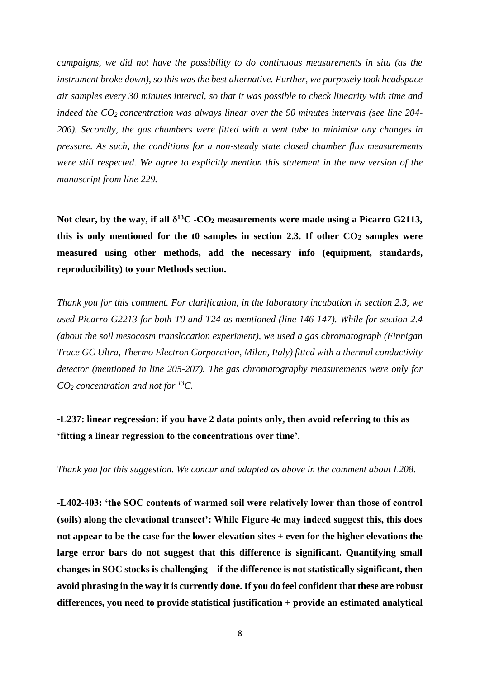*campaigns, we did not have the possibility to do continuous measurements in situ (as the instrument broke down), so this was the best alternative. Further, we purposely took headspace air samples every 30 minutes interval, so that it was possible to check linearity with time and indeed the CO2 concentration was always linear over the 90 minutes intervals (see line 204- 206). Secondly, the gas chambers were fitted with a vent tube to minimise any changes in pressure. As such, the conditions for a non-steady state closed chamber flux measurements were still respected. We agree to explicitly mention this statement in the new version of the manuscript from line 229.*

**Not clear, by the way, if all δ <sup>13</sup>C -CO<sup>2</sup> measurements were made using a Picarro G2113,**  this is only mentioned for the  $t0$  samples in section 2.3. If other  $CO<sub>2</sub>$  samples were **measured using other methods, add the necessary info (equipment, standards, reproducibility) to your Methods section.**

*Thank you for this comment. For clarification, in the laboratory incubation in section 2.3, we used Picarro G2213 for both T0 and T24 as mentioned (line 146-147). While for section 2.4 (about the soil mesocosm translocation experiment), we used a gas chromatograph (Finnigan Trace GC Ultra, Thermo Electron Corporation, Milan, Italy) fitted with a thermal conductivity detector (mentioned in line 205-207). The gas chromatography measurements were only for CO<sup>2</sup> concentration and not for <sup>13</sup>C.*

**-L237: linear regression: if you have 2 data points only, then avoid referring to this as 'fitting a linear regression to the concentrations over time'.**

*Thank you for this suggestion. We concur and adapted as above in the comment about L208*.

**-L402-403: 'the SOC contents of warmed soil were relatively lower than those of control (soils) along the elevational transect': While Figure 4e may indeed suggest this, this does not appear to be the case for the lower elevation sites + even for the higher elevations the large error bars do not suggest that this difference is significant. Quantifying small changes in SOC stocks is challenging – if the difference is not statistically significant, then avoid phrasing in the way it is currently done. If you do feel confident that these are robust differences, you need to provide statistical justification + provide an estimated analytical**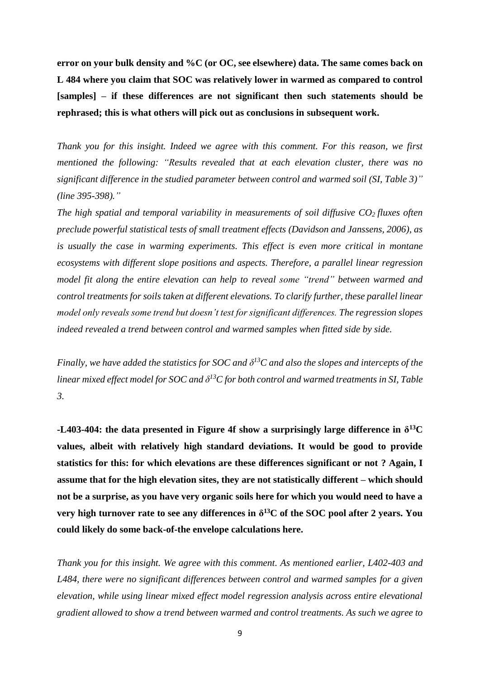**error on your bulk density and %C (or OC, see elsewhere) data. The same comes back on L 484 where you claim that SOC was relatively lower in warmed as compared to control [samples] – if these differences are not significant then such statements should be rephrased; this is what others will pick out as conclusions in subsequent work.**

*Thank you for this insight. Indeed we agree with this comment. For this reason, we first mentioned the following: "Results revealed that at each elevation cluster, there was no significant difference in the studied parameter between control and warmed soil (SI, Table 3)" (line 395-398)."*

*The high spatial and temporal variability in measurements of soil diffusive CO2 fluxes often preclude powerful statistical tests of small treatment effects (Davidson and Janssens, 2006), as is usually the case in warming experiments. This effect is even more critical in montane ecosystems with different slope positions and aspects. Therefore, a parallel linear regression model fit along the entire elevation can help to reveal some "trend" between warmed and control treatments for soils taken at different elevations. To clarify further, these parallel linear model only reveals some trend but doesn't test for significant differences. The regression slopes indeed revealed a trend between control and warmed samples when fitted side by side.*

*Finally, we have added the statistics for SOC and*  $\delta^{13}$ *C and also the slopes and intercepts of the linear mixed effect model for SOC and δ <sup>13</sup>C for both control and warmed treatments in SI, Table 3.* 

**-L403-404:** the data presented in Figure 4f show a surprisingly large difference in  $\delta^{13}C$ **values, albeit with relatively high standard deviations. It would be good to provide statistics for this: for which elevations are these differences significant or not ? Again, I assume that for the high elevation sites, they are not statistically different – which should not be a surprise, as you have very organic soils here for which you would need to have a very high turnover rate to see any differences in δ <sup>13</sup>C of the SOC pool after 2 years. You could likely do some back-of-the envelope calculations here.**

*Thank you for this insight. We agree with this comment. As mentioned earlier, L402-403 and L484, there were no significant differences between control and warmed samples for a given elevation, while using linear mixed effect model regression analysis across entire elevational gradient allowed to show a trend between warmed and control treatments. As such we agree to*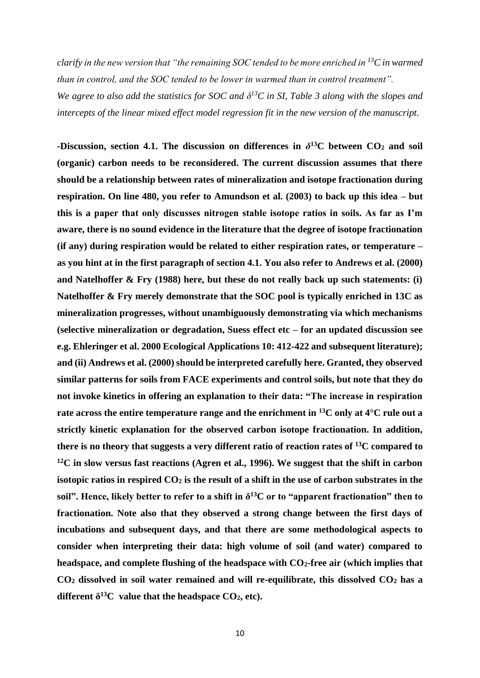*clarify in the new version that "the remaining SOC tended to be more enriched in <sup>13</sup>C in warmed than in control, and the SOC tended to be lower in warmed than in control treatment". We agree to also add the statistics for SOC and*  $\delta^{13}$ *C in SI, Table 3 along with the slopes and* 

*intercepts of the linear mixed effect model regression fit in the new version of the manuscript.*

**-Discussion, section 4.1. The discussion on differences in**  $\delta^{13}$ **C between CO<sub>2</sub> and soil (organic) carbon needs to be reconsidered. The current discussion assumes that there should be a relationship between rates of mineralization and isotope fractionation during respiration. On line 480, you refer to Amundson et al. (2003) to back up this idea – but this is a paper that only discusses nitrogen stable isotope ratios in soils. As far as I'm aware, there is no sound evidence in the literature that the degree of isotope fractionation (if any) during respiration would be related to either respiration rates, or temperature – as you hint at in the first paragraph of section 4.1. You also refer to Andrews et al. (2000) and Natelhoffer & Fry (1988) here, but these do not really back up such statements: (i) Natelhoffer & Fry merely demonstrate that the SOC pool is typically enriched in 13C as mineralization progresses, without unambiguously demonstrating via which mechanisms (selective mineralization or degradation, Suess effect etc – for an updated discussion see e.g. Ehleringer et al. 2000 Ecological Applications 10: 412-422 and subsequent literature); and (ii) Andrews et al. (2000) should be interpreted carefully here. Granted, they observed similar patterns for soils from FACE experiments and control soils, but note that they do not invoke kinetics in offering an explanation to their data: "The increase in respiration rate across the entire temperature range and the enrichment in <sup>13</sup>C only at 4°C rule out a strictly kinetic explanation for the observed carbon isotope fractionation. In addition, there is no theory that suggests a very different ratio of reaction rates of <sup>13</sup>C compared to <sup>12</sup>C in slow versus fast reactions (Agren et al., 1996). We suggest that the shift in carbon isotopic ratios in respired CO<sup>2</sup> is the result of a shift in the use of carbon substrates in the**  soil". Hence, likely better to refer to a shift in  $\delta^{13}$ C or to "apparent fractionation" then to **fractionation. Note also that they observed a strong change between the first days of incubations and subsequent days, and that there are some methodological aspects to consider when interpreting their data: high volume of soil (and water) compared to headspace, and complete flushing of the headspace with CO2-free air (which implies that CO<sup>2</sup> dissolved in soil water remained and will re-equilibrate, this dissolved CO<sup>2</sup> has a different δ <sup>13</sup>C value that the headspace CO2, etc).**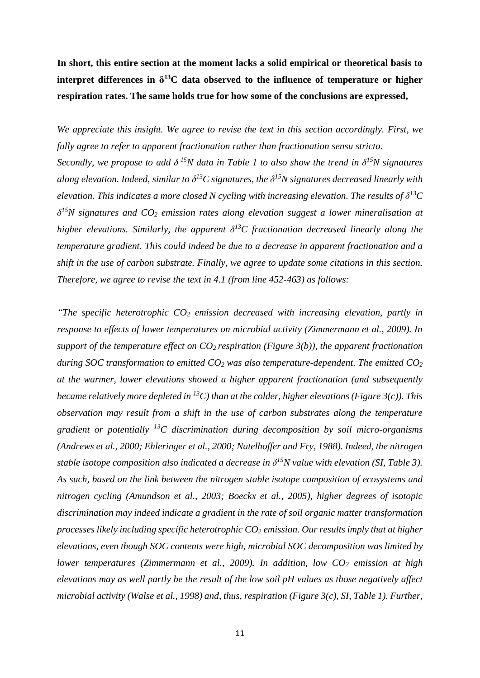# **In short, this entire section at the moment lacks a solid empirical or theoretical basis to interpret differences in δ <sup>13</sup>C data observed to the influence of temperature or higher respiration rates. The same holds true for how some of the conclusions are expressed,**

*We appreciate this insight. We agree to revise the text in this section accordingly. First, we fully agree to refer to apparent fractionation rather than fractionation sensu stricto. Secondly, we propose to add*  $\delta^{15}N$  *data in Table 1 to also show the trend in*  $\delta^{15}N$  *signatures along elevation. Indeed, similar to δ <sup>13</sup>C signatures, the δ <sup>15</sup>N signatures decreased linearly with elevation. This indicates a more closed N cycling with increasing elevation. The results of*  $\delta^{13}C$ *δ <sup>15</sup>N signatures and CO<sup>2</sup> emission rates along elevation suggest a lower mineralisation at higher elevations. Similarly, the apparent δ <sup>13</sup>C fractionation decreased linearly along the temperature gradient. This could indeed be due to a decrease in apparent fractionation and a shift in the use of carbon substrate. Finally, we agree to update some citations in this section. Therefore, we agree to revise the text in 4.1 (from line 452-463) as follows:*

*"The specific heterotrophic CO<sup>2</sup> emission decreased with increasing elevation, partly in response to effects of lower temperatures on microbial activity (Zimmermann et al., 2009). In support of the temperature effect on CO2 respiration (Figure 3(b)), the apparent fractionation during SOC transformation to emitted CO<sup>2</sup> was also temperature-dependent. The emitted CO<sup>2</sup> at the warmer, lower elevations showed a higher apparent fractionation (and subsequently became relatively more depleted in <sup>13</sup>C) than at the colder, higher elevations (Figure 3(c)). This observation may result from a shift in the use of carbon substrates along the temperature gradient or potentially <sup>13</sup>C discrimination during decomposition by soil micro-organisms (Andrews et al., 2000; Ehleringer et al., 2000; Natelhoffer and Fry, 1988). Indeed, the nitrogen stable isotope composition also indicated a decrease in δ <sup>15</sup>N value with elevation (SI, Table 3). As such, based on the link between the nitrogen stable isotope composition of ecosystems and nitrogen cycling (Amundson et al., 2003; Boeckx et al., 2005), higher degrees of isotopic discrimination may indeed indicate a gradient in the rate of soil organic matter transformation processes likely including specific heterotrophic CO<sup>2</sup> emission. Our results imply that at higher elevations, even though SOC contents were high, microbial SOC decomposition was limited by lower temperatures (Zimmermann et al., 2009). In addition, low CO<sup>2</sup> emission at high elevations may as well partly be the result of the low soil pH values as those negatively affect microbial activity (Walse et al., 1998) and, thus, respiration (Figure 3(c), SI, Table 1). Further,*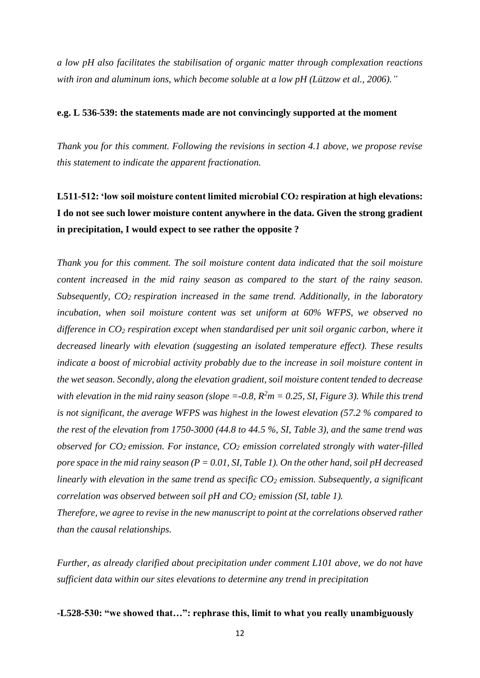*a low pH also facilitates the stabilisation of organic matter through complexation reactions with iron and aluminum ions, which become soluble at a low pH (Lützow et al., 2006)."*

#### **e.g. L 536-539: the statements made are not convincingly supported at the moment**

*Thank you for this comment. Following the revisions in section 4.1 above, we propose revise this statement to indicate the apparent fractionation.*

# **L511-512: 'low soil moisture content limited microbial CO<sup>2</sup> respiration at high elevations: I do not see such lower moisture content anywhere in the data. Given the strong gradient in precipitation, I would expect to see rather the opposite ?**

*Thank you for this comment. The soil moisture content data indicated that the soil moisture content increased in the mid rainy season as compared to the start of the rainy season. Subsequently, CO2 respiration increased in the same trend. Additionally, in the laboratory incubation, when soil moisture content was set uniform at 60% WFPS, we observed no difference in CO<sup>2</sup> respiration except when standardised per unit soil organic carbon, where it decreased linearly with elevation (suggesting an isolated temperature effect). These results indicate a boost of microbial activity probably due to the increase in soil moisture content in the wet season. Secondly, along the elevation gradient, soil moisture content tended to decrease with elevation in the mid rainy season (slope = -0.8,*  $R^2m = 0.25$ *, SI, Figure 3). While this trend is not significant, the average WFPS was highest in the lowest elevation (57.2 % compared to the rest of the elevation from 1750-3000 (44.8 to 44.5 %, SI, Table 3), and the same trend was observed for CO2 emission. For instance, CO<sup>2</sup> emission correlated strongly with water-filled pore space in the mid rainy season (P = 0.01, SI, Table 1). On the other hand, soil pH decreased linearly with elevation in the same trend as specific CO<sup>2</sup> emission. Subsequently, a significant correlation was observed between soil pH and CO<sup>2</sup> emission (SI, table 1).*

*Therefore, we agree to revise in the new manuscript to point at the correlations observed rather than the causal relationships.*

*Further, as already clarified about precipitation under comment L101 above, we do not have sufficient data within our sites elevations to determine any trend in precipitation* 

**-L528-530: "we showed that…": rephrase this, limit to what you really unambiguously**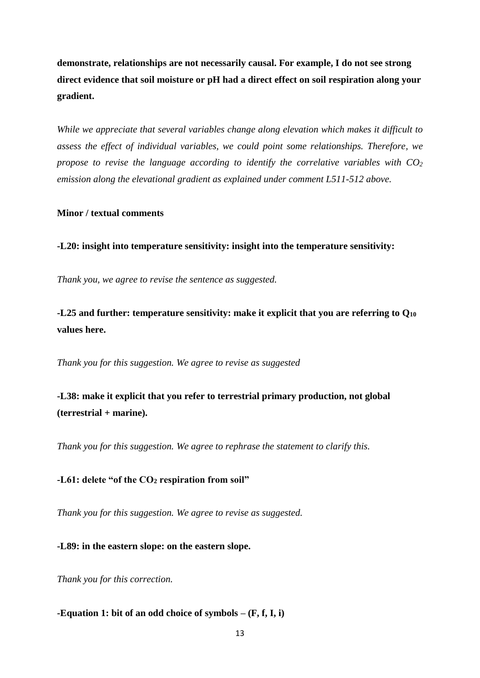**demonstrate, relationships are not necessarily causal. For example, I do not see strong direct evidence that soil moisture or pH had a direct effect on soil respiration along your gradient.**

*While we appreciate that several variables change along elevation which makes it difficult to assess the effect of individual variables, we could point some relationships. Therefore, we propose to revise the language according to identify the correlative variables with CO<sub>2</sub> emission along the elevational gradient as explained under comment L511-512 above.*

### **Minor / textual comments**

**-L20: insight into temperature sensitivity: insight into the temperature sensitivity:**

*Thank you, we agree to revise the sentence as suggested.*

**-L25 and further: temperature sensitivity: make it explicit that you are referring to Q<sup>10</sup> values here.**

*Thank you for this suggestion. We agree to revise as suggested*

**-L38: make it explicit that you refer to terrestrial primary production, not global (terrestrial + marine).**

*Thank you for this suggestion. We agree to rephrase the statement to clarify this.*

**-L61: delete "of the CO<sup>2</sup> respiration from soil"**

*Thank you for this suggestion. We agree to revise as suggested.*

**-L89: in the eastern slope: on the eastern slope.**

*Thank you for this correction.*

**-Equation 1: bit of an odd choice of symbols – (F, f, I, i)**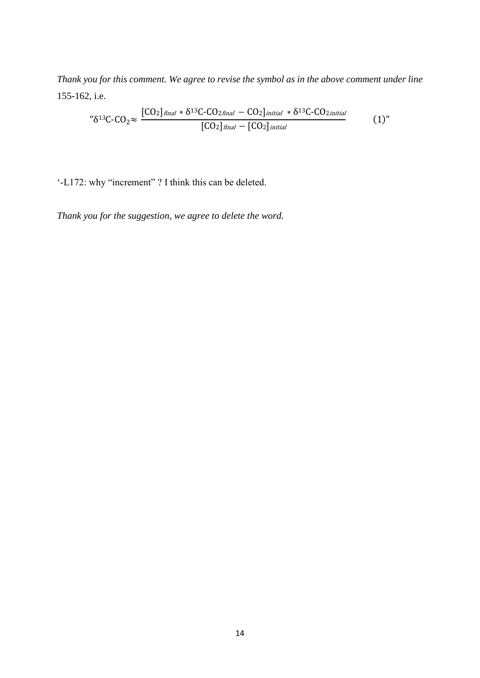*Thank you for this comment. We agree to revise the symbol as in the above comment under line*  155-162, i.e.

$$
"\delta^{13}C-CO_2 \approx \frac{[CO_2]_{final} * \delta^{13}C-CO_2_{final} - CO_2]_{initial} * \delta^{13}C-CO_2_{initial}}{[CO_2]_{final} - [CO_2]_{initial}}
$$
(1)

'-L172: why "increment" ? I think this can be deleted.

*Thank you for the suggestion, we agree to delete the word.*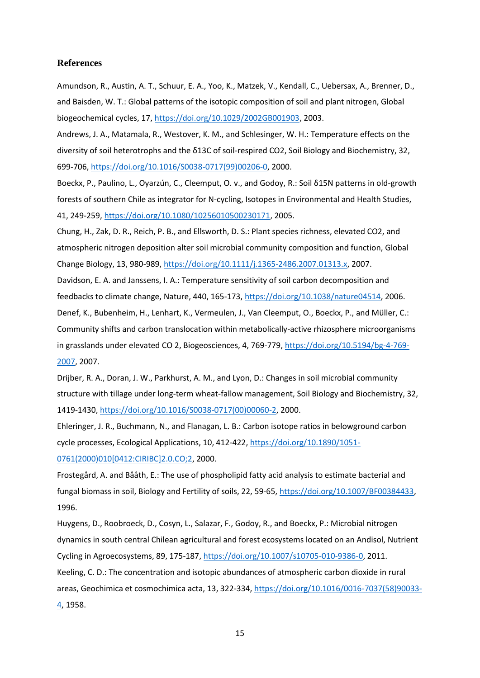#### **References**

Amundson, R., Austin, A. T., Schuur, E. A., Yoo, K., Matzek, V., Kendall, C., Uebersax, A., Brenner, D., and Baisden, W. T.: Global patterns of the isotopic composition of soil and plant nitrogen, Global biogeochemical cycles, 17, [https://doi.org/10.1029/2002GB001903,](https://doi.org/10.1029/2002GB001903) 2003.

Andrews, J. A., Matamala, R., Westover, K. M., and Schlesinger, W. H.: Temperature effects on the diversity of soil heterotrophs and the δ13C of soil-respired CO2, Soil Biology and Biochemistry, 32, 699-706, [https://doi.org/10.1016/S0038-0717\(99\)00206-0,](https://doi.org/10.1016/S0038-0717(99)00206-0) 2000.

Boeckx, P., Paulino, L., Oyarzún, C., Cleemput, O. v., and Godoy, R.: Soil δ15N patterns in old-growth forests of southern Chile as integrator for N-cycling, Isotopes in Environmental and Health Studies, 41, 249-259, [https://doi.org/10.1080/10256010500230171,](https://doi.org/10.1080/10256010500230171) 2005.

Chung, H., Zak, D. R., Reich, P. B., and Ellsworth, D. S.: Plant species richness, elevated CO2, and atmospheric nitrogen deposition alter soil microbial community composition and function, Global Change Biology, 13, 980-989, [https://doi.org/10.1111/j.1365-2486.2007.01313.x,](https://doi.org/10.1111/j.1365-2486.2007.01313.x) 2007.

Davidson, E. A. and Janssens, I. A.: Temperature sensitivity of soil carbon decomposition and feedbacks to climate change, Nature, 440, 165-173[, https://doi.org/10.1038/nature04514,](https://doi.org/10.1038/nature04514) 2006. Denef, K., Bubenheim, H., Lenhart, K., Vermeulen, J., Van Cleemput, O., Boeckx, P., and Müller, C.: Community shifts and carbon translocation within metabolically-active rhizosphere microorganisms in grasslands under elevated CO 2, Biogeosciences, 4, 769-779[, https://doi.org/10.5194/bg-4-769-](https://doi.org/10.5194/bg-4-769-2007) [2007,](https://doi.org/10.5194/bg-4-769-2007) 2007.

Drijber, R. A., Doran, J. W., Parkhurst, A. M., and Lyon, D.: Changes in soil microbial community structure with tillage under long-term wheat-fallow management, Soil Biology and Biochemistry, 32, 1419-1430, [https://doi.org/10.1016/S0038-0717\(00\)00060-2,](https://doi.org/10.1016/S0038-0717(00)00060-2) 2000.

Ehleringer, J. R., Buchmann, N., and Flanagan, L. B.: Carbon isotope ratios in belowground carbon cycle processes, Ecological Applications, 10, 412-422, [https://doi.org/10.1890/1051-](https://doi.org/10.1890/1051-0761(2000)010%5b0412:CIRIBC%5d2.0.CO;2) [0761\(2000\)010\[0412:CIRIBC\]2.0.CO;2,](https://doi.org/10.1890/1051-0761(2000)010%5b0412:CIRIBC%5d2.0.CO;2) 2000.

Frostegård, A. and Bååth, E.: The use of phospholipid fatty acid analysis to estimate bacterial and fungal biomass in soil, Biology and Fertility of soils, 22, 59-65[, https://doi.org/10.1007/BF00384433,](https://doi.org/10.1007/BF00384433) 1996.

Huygens, D., Roobroeck, D., Cosyn, L., Salazar, F., Godoy, R., and Boeckx, P.: Microbial nitrogen dynamics in south central Chilean agricultural and forest ecosystems located on an Andisol, Nutrient Cycling in Agroecosystems, 89, 175-187, [https://doi.org/10.1007/s10705-010-9386-0,](https://doi.org/10.1007/s10705-010-9386-0) 2011. Keeling, C. D.: The concentration and isotopic abundances of atmospheric carbon dioxide in rural areas, Geochimica et cosmochimica acta, 13, 322-334, [https://doi.org/10.1016/0016-7037\(58\)90033-](https://doi.org/10.1016/0016-7037(58)90033-4) [4,](https://doi.org/10.1016/0016-7037(58)90033-4) 1958.